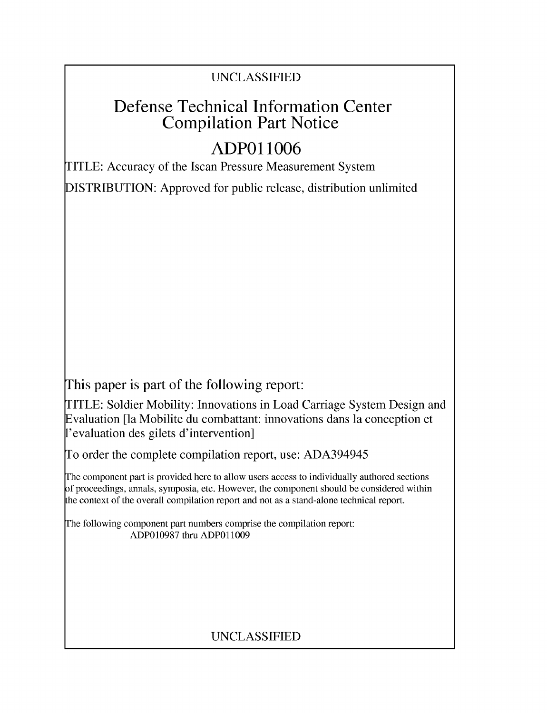### **UNCLASSIFIED**

## **Defense Technical Information Center Compilation Part Notice**

# **ADPO 11006**

TITLE: Accuracy of the Iscan Pressure Measurement System

**DISTRIBUTION:** Approved for public release, distribution unlimited

This paper is part of the following report:

TITLE: Soldier Mobility: Innovations in Load Carriage System Design and Evaluation [la Mobilite du combattant: innovations dans la conception et 1'evaluation des gilets d'intervention]

To order the complete compilation report, use: *ADA3 94945*

The component part is provided here to allow users access to individually authored sections f proceedings, annals, symposia, etc. However, the component should be considered within [he context of the overall compilation report and not as a stand-alone technical report.

The following component part numbers comprise the compilation report: **ADP0 10987** thru. **ADPO 11009**

## **UNCLASSIFIED**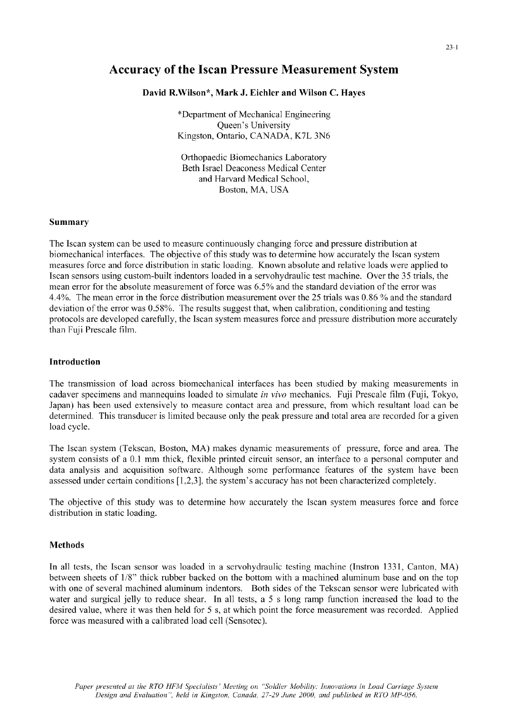### Accuracy of the Iscan Pressure Measurement System

#### David R.Wilson\*, Mark **J.** Eichler and Wilson **C.** Hayes

\*Department of Mechanical Engineering Queen's University Kingston, Ontario, CANADA, K7L 3N6

Orthopaedic Biomechanics Laboratory Beth Israel Deaconess Medical Center and Harvard Medical School, Boston, MA, USA

#### Summary

The Iscan system can be used to measure continuously changing force and pressure distribution at biomechanical interfaces. The objective of this study was to determine how accurately the Iscan system measures force and force distribution in static loading. Known absolute and relative loads were applied to Iscan sensors using custom-built indentors loaded in a servohydraulic test machine. Over the 35 trials, the mean error for the absolute measurement of force was 6.5% and the standard deviation of the error was 4.4%. The mean error in the force distribution measurement over the 25 trials was 0.86 **%** and the standard deviation of the error was 0.58%. The results suggest that, when calibration, conditioning and testing protocols are developed carefully, the Iscan system measures force and pressure distribution more accurately than Fuji Prescale film.

#### Introduction

The transmission of load across biomechanical interfaces has been studied by making measurements in cadaver specimens and mannequins loaded to simulate *in vivo* mechanics. Fuji Prescale film (Fuji, Tokyo, Japan) has been used extensively to measure contact area and pressure, from which resultant load can be determined. This transducer is limited because only the peak pressure and total area are recorded for a given load cycle.

The Iscan system (Tekscan, Boston, MA) makes dynamic measurements of pressure, force and area. The system consists of a 0.1 mm thick, flexible printed circuit sensor, an interface to a personal computer and data analysis and acquisition software. Although some performance features of the system have been assessed under certain conditions **[1,2,3],** the system's accuracy has not been characterized completely.

The objective of this study was to determine how accurately the Iscan system measures force and force distribution in static loading.

#### Methods

In all tests, the Iscan sensor was loaded in a servohydraulic testing machine (Instron 1331, Canton, MA) between sheets of 1/8" thick rubber backed on the bottom with a machined aluminum base and on the top with one of several machined aluminum indentors. Both sides of the Tekscan sensor were lubricated with water and surgical jelly to reduce shear. In all tests, a *5* s long ramp function increased the load to the desired value, where it was then held for 5 s, at which point the force measurement was recorded. Applied force was measured with a calibrated load cell (Sensotec).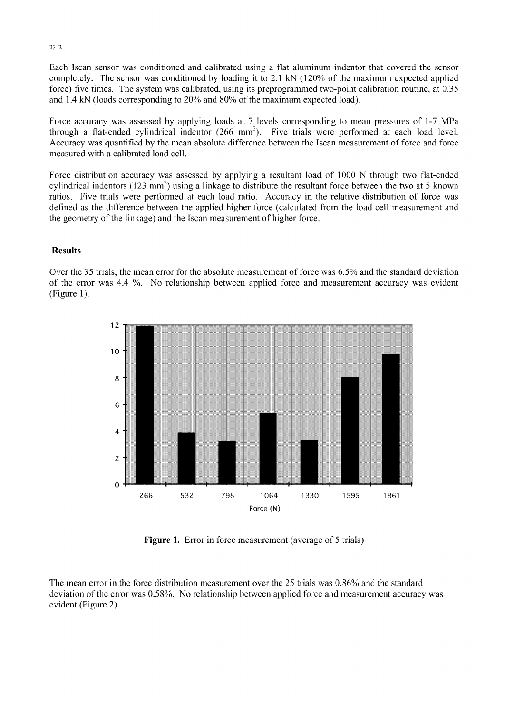Each Iscan sensor was conditioned and calibrated using a flat aluminum indentor that covered the sensor completely. The sensor was conditioned by loading it to 2.1 kN (120% of the maximum expected applied force) five times. The system was calibrated, using its preprogrammed two-point calibration routine, at 0.35 and 1.4 kN (loads corresponding to 20% and **80%** of the maximum expected load).

Force accuracy was assessed by applying loads at 7 levels corresponding to mean pressures of 1-7 MPa through a flat-ended cylindrical indentor  $(266 \text{ mm}^2)$ . Five trials were performed at each load level. Accuracy was quantified by the mean absolute difference between the Iscan measurement of force and force measured with a calibrated load cell.

Force distribution accuracy was assessed by applying a resultant load of 1000 N through two flat-ended cylindrical indentors (123 mm<sup>2</sup>) using a linkage to distribute the resultant force between the two at 5 known ratios. Five trials were performed at each load ratio. Accuracy in the relative distribution of force was defined as the difference between the applied higher force (calculated from the load cell measurement and the geometry of the linkage) and the Iscan measurement of higher force.

#### Results

Over the 35 trials, the mean error for the absolute measurement of force was 6.5% and the standard deviation of the error was 4.4 %. No relationship between applied force and measurement accuracy was evident (Figure 1).



Figure 1. Error in force measurement (average of 5 trials)

The mean error in the force distribution measurement over the 25 trials was 0.86% and the standard deviation of the error was 0.58%. No relationship between applied force and measurement accuracy was evident (Figure 2).

23-2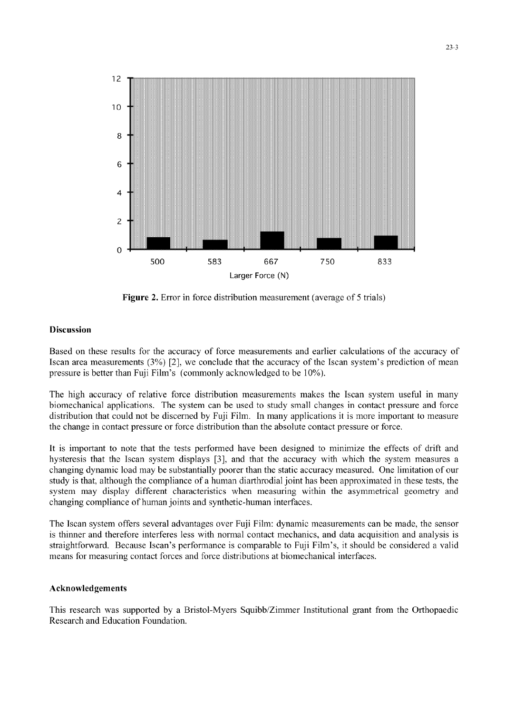

Figure 2. Error in force distribution measurement (average of 5 trials)

#### Discussion

Based on these results for the accuracy of force measurements and earlier calculations of the accuracy of Iscan area measurements **(3%)** [2], we conclude that the accuracy of the Iscan system's prediction of mean pressure is better than Fuji Film's (commonly acknowledged to be 10%).

The high accuracy of relative force distribution measurements makes the Iscan system useful in many biomechanical applications. The system can be used to study small changes in contact pressure and force distribution that could not be discerned by Fuji Film. In many applications it is more important to measure the change in contact pressure or force distribution than the absolute contact pressure or force.

It is important to note that the tests performed have been designed to minimize the effects of drift and hysteresis that the Iscan system displays **[3],** and that the accuracy with which the system measures a changing dynamic load may be substantially poorer than the static accuracy measured. One limitation of our study is that, although the compliance of a human diarthrodial joint has been approximated in these tests, the system may display different characteristics when measuring within the asymmetrical geometry and changing compliance of human joints and synthetic-human interfaces.

The Iscan system offers several advantages over Fuji Film: dynamic measurements can be made, the sensor is thinner and therefore interferes less with normal contact mechanics, and data acquisition and analysis is straightforward. Because Iscan's performance is comparable to Fuji Film's, it should be considered a valid means for measuring contact forces and force distributions at biomechanical interfaces.

#### Acknowledgements

This research was supported by a Bristol-Myers Squibb/Zimmer Institutional grant from the Orthopaedic Research and Education Foundation.